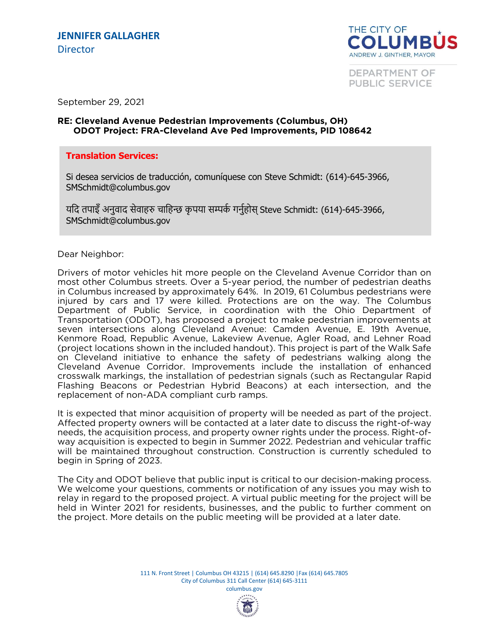

**DEPARTMENT OF PUBLIC SERVICE** 

September 29, 2021

## **RE: Cleveland Avenue Pedestrian Improvements (Columbus, OH) ODOT Project: FRA-Cleveland Ave Ped Improvements, PID 108642**

## **Translation Services:**

Si desea servicios de traducción, comuníquese con Steve Schmidt: (614)-645-3966, SMSchmidt@columbus.gov

यदि तपाइँ अनुवाद सेवाहरु चाहिन्छ कृपया सम्पर्क गर्नुहोस् Steve Schmidt: (614)-645-3966, SMSchmidt@columbus.gov

## Dear Neighbor:

Drivers of motor vehicles hit more people on the Cleveland Avenue Corridor than on most other Columbus streets. Over a 5-year period, the number of pedestrian deaths in Columbus increased by approximately 64%. In 2019, 61 Columbus pedestrians were injured by cars and 17 were killed. Protections are on the way. The Columbus Department of Public Service, in coordination with the Ohio Department of Transportation (ODOT), has proposed a project to make pedestrian improvements at seven intersections along Cleveland Avenue: Camden Avenue, E. 19th Avenue, Kenmore Road, Republic Avenue, Lakeview Avenue, Agler Road, and Lehner Road (project locations shown in the included handout). This project is part of the Walk Safe on Cleveland initiative to enhance the safety of pedestrians walking along the Cleveland Avenue Corridor. Improvements include the installation of enhanced crosswalk markings, the installation of pedestrian signals (such as Rectangular Rapid Flashing Beacons or Pedestrian Hybrid Beacons) at each intersection, and the replacement of non-ADA compliant curb ramps. replacement of non-ADA compliant curb ramps.

It is expected that minor acquisition of property will be needed as part of the project.<br>Affected property owners will be contacted at a later date to discuss the right-of-way heeds, the acquisition process, and property owner rights under the process. Right-ofway acquisition is expected to begin in Summer 2022. Pedestrian and vehicular traffic will be maintained throughout construction. Construction is currently scheduled to begin in Spring of 2023. begin in Spring of 2023.

The City and ODOT believe that public input is critical to our decision-making process.<br>We welcome your questions, comments or notification of any issues you may wish to relay in regard to the proposed project. A virtual public meeting for the project will be held in Winter 2021 for residents, businesses, and the public to further comment on the project. More details on the public meeting will be provided at a later date. the project. More details on the public meeting will be provided at a later date.